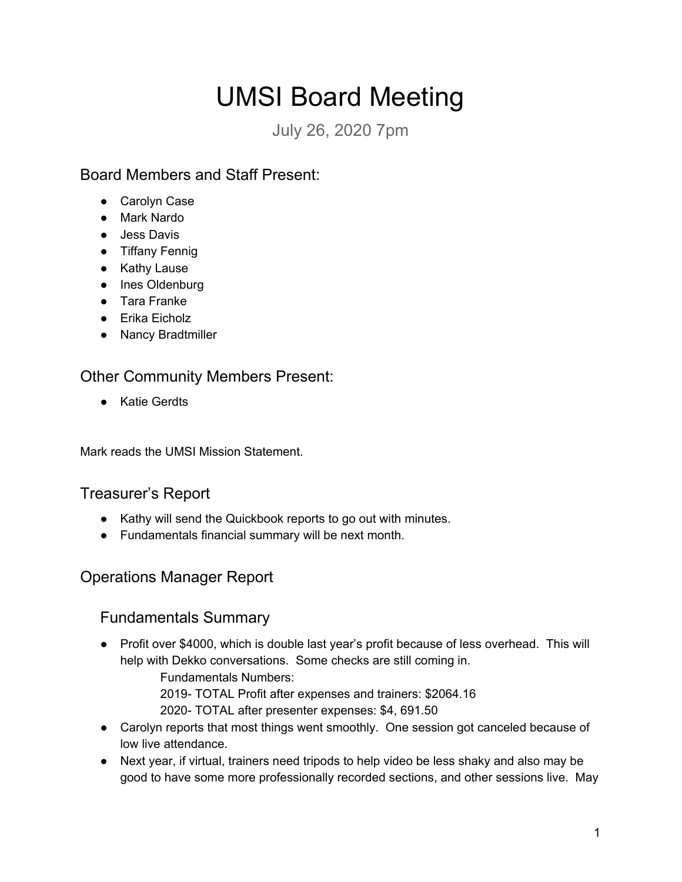# UMSI Board Meeting

July 26, 2020 7pm

## Board Members and Staff Present:

- Carolyn Case
- Mark Nardo
- Jess Davis
- Tiffany Fennig
- Kathy Lause
- Ines Oldenburg
- Tara Franke
- Erika Eicholz
- Nancy Bradtmiller

#### Other Community Members Present:

● Katie Gerdts

Mark reads the UMSI Mission Statement.

#### Treasurer's Report

- Kathy will send the Quickbook reports to go out with minutes.
- Fundamentals financial summary will be next month.

## Operations Manager Report

#### Fundamentals Summary

- Profit over \$4000, which is double last year's profit because of less overhead. This will help with Dekko conversations. Some checks are still coming in. Fundamentals Numbers:
	- 2019- TOTAL Profit after expenses and trainers: \$2064.16
	- 2020- TOTAL after presenter expenses: \$4, 691.50
- Carolyn reports that most things went smoothly. One session got canceled because of low live attendance.
- Next year, if virtual, trainers need tripods to help video be less shaky and also may be good to have some more professionally recorded sections, and other sessions live. May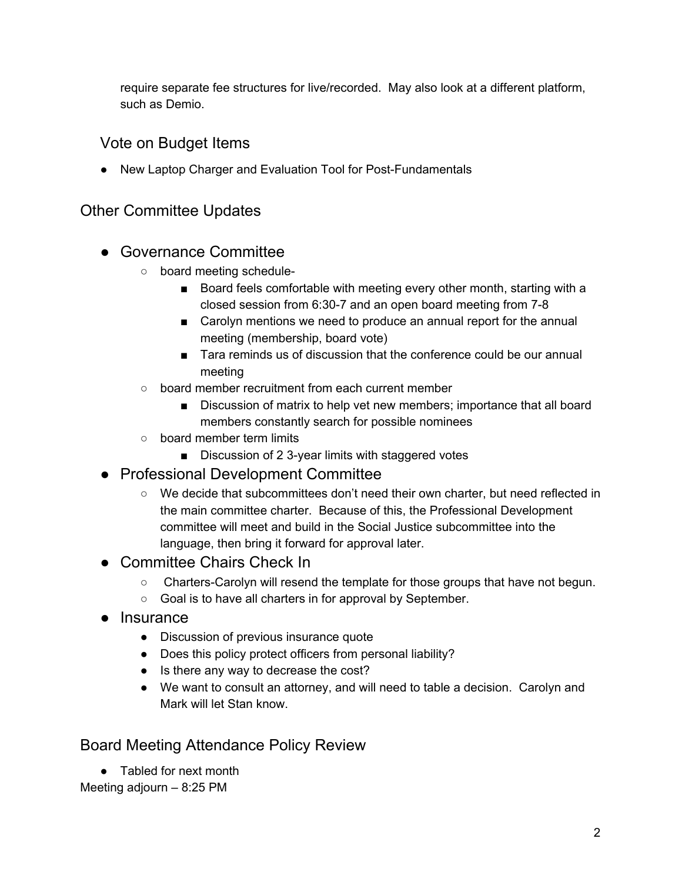require separate fee structures for live/recorded. May also look at a different platform, such as Demio.

#### Vote on Budget Items

● New Laptop Charger and Evaluation Tool for Post-Fundamentals

#### Other Committee Updates

- Governance Committee
	- board meeting schedule-
		- Board feels comfortable with meeting every other month, starting with a closed session from 6:30-7 and an open board meeting from 7-8
		- Carolyn mentions we need to produce an annual report for the annual meeting (membership, board vote)
		- Tara reminds us of discussion that the conference could be our annual meeting
	- board member recruitment from each current member
		- Discussion of matrix to help vet new members; importance that all board members constantly search for possible nominees
	- board member term limits
		- Discussion of 2 3-year limits with staggered votes
- Professional Development Committee
	- We decide that subcommittees don't need their own charter, but need reflected in the main committee charter. Because of this, the Professional Development committee will meet and build in the Social Justice subcommittee into the language, then bring it forward for approval later.
- Committee Chairs Check In
	- Charters-Carolyn will resend the template for those groups that have not begun.
	- Goal is to have all charters in for approval by September.
- Insurance
	- Discussion of previous insurance quote
	- Does this policy protect officers from personal liability?
	- Is there any way to decrease the cost?
	- We want to consult an attorney, and will need to table a decision. Carolyn and Mark will let Stan know.

## Board Meeting Attendance Policy Review

● Tabled for next month

Meeting adjourn – 8:25 PM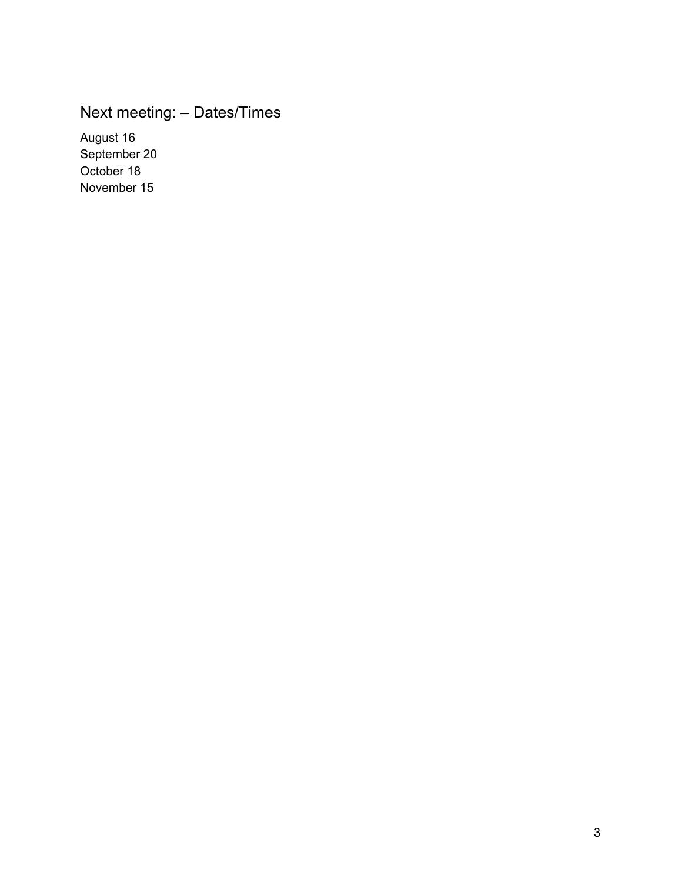Next meeting: – Dates/Times

August 16 September 20 October 18 November 15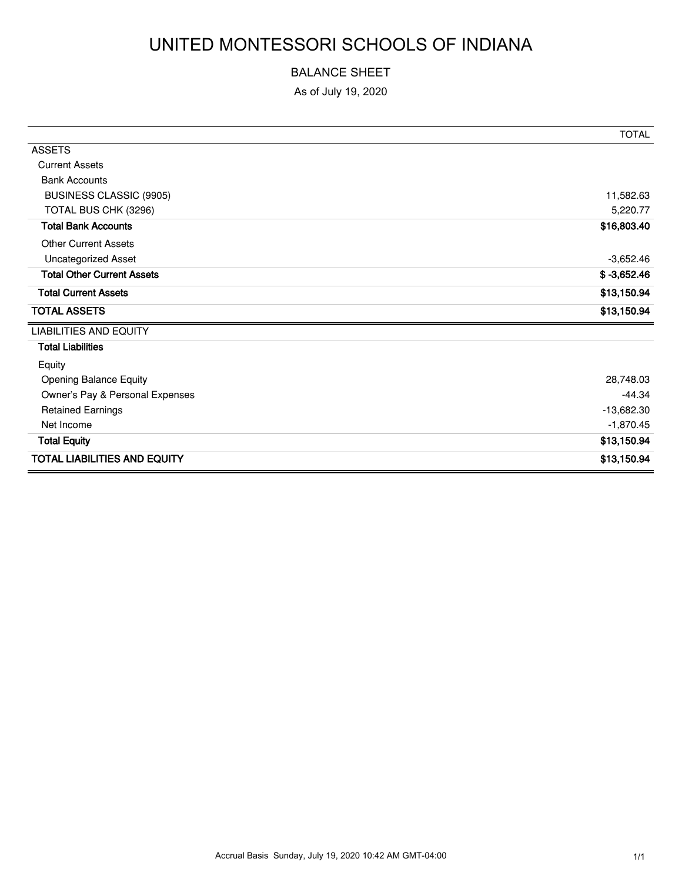# UNITED MONTESSORI SCHOOLS OF INDIANA

#### BALANCE SHEET

As of July 19, 2020

|                                     | <b>TOTAL</b>  |
|-------------------------------------|---------------|
| <b>ASSETS</b>                       |               |
| <b>Current Assets</b>               |               |
| <b>Bank Accounts</b>                |               |
| BUSINESS CLASSIC (9905)             | 11,582.63     |
| TOTAL BUS CHK (3296)                | 5,220.77      |
| <b>Total Bank Accounts</b>          | \$16,803.40   |
| <b>Other Current Assets</b>         |               |
| <b>Uncategorized Asset</b>          | $-3,652.46$   |
| <b>Total Other Current Assets</b>   | $$ -3,652.46$ |
| <b>Total Current Assets</b>         | \$13,150.94   |
| <b>TOTAL ASSETS</b>                 | \$13,150.94   |
| <b>LIABILITIES AND EQUITY</b>       |               |
| <b>Total Liabilities</b>            |               |
| Equity                              |               |
| <b>Opening Balance Equity</b>       | 28,748.03     |
| Owner's Pay & Personal Expenses     | $-44.34$      |
| <b>Retained Earnings</b>            | $-13,682.30$  |
| Net Income                          | $-1,870.45$   |
| <b>Total Equity</b>                 | \$13,150.94   |
| <b>TOTAL LIABILITIES AND EQUITY</b> | \$13,150.94   |